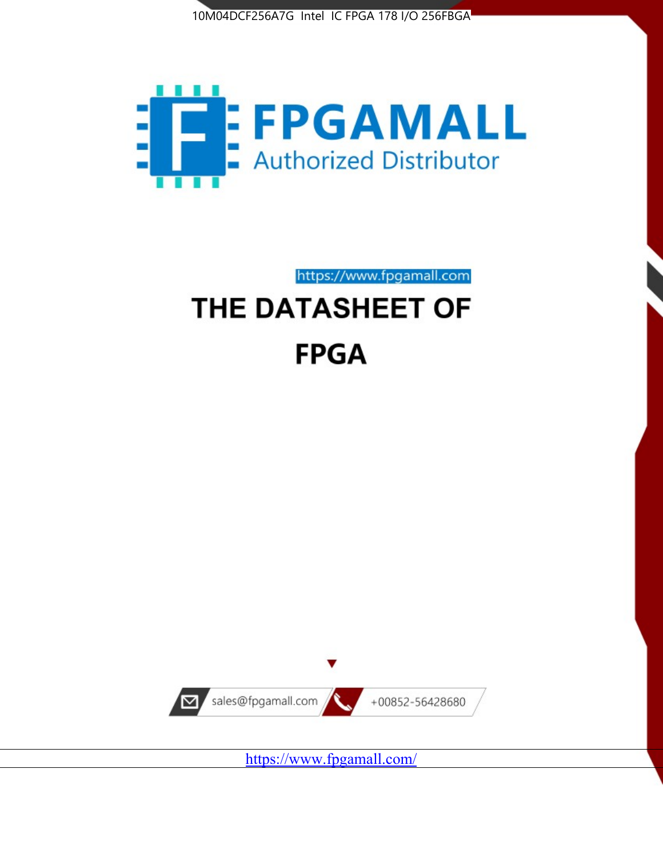



https://www.fpgamall.com THE DATASHEET OF

# **FPGA**



<https://www.fpgamall.com/>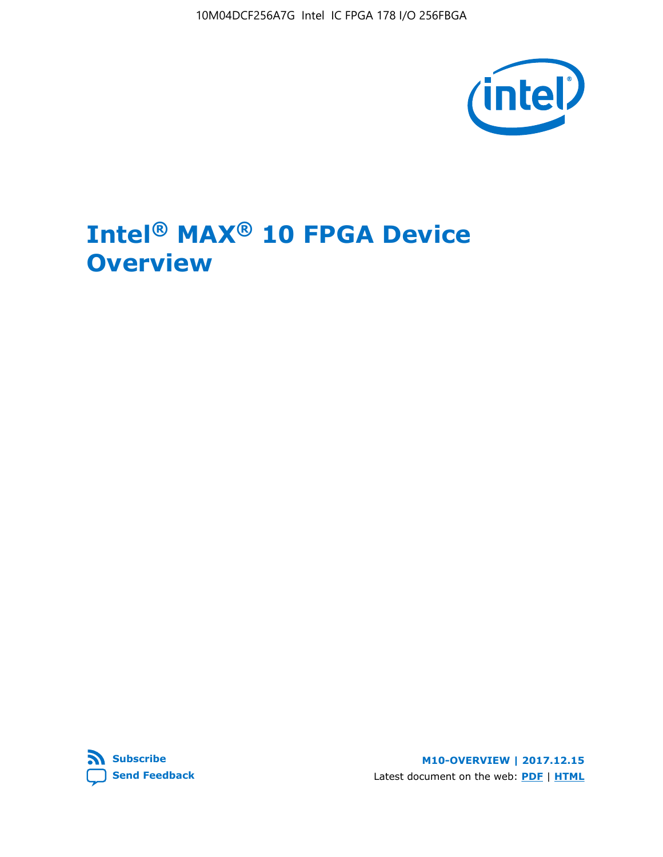10M04DCF256A7G Intel IC FPGA 178 I/O 256FBGA



# **Intel® MAX® 10 FPGA Device Overview**



**M10-OVERVIEW | 2017.12.15** Latest document on the web: **[PDF](https://www.altera.com/en_US/pdfs/literature/hb/max-10/m10_overview.pdf)** | **[HTML](https://www.altera.com/documentation/myt1396938463674.html)**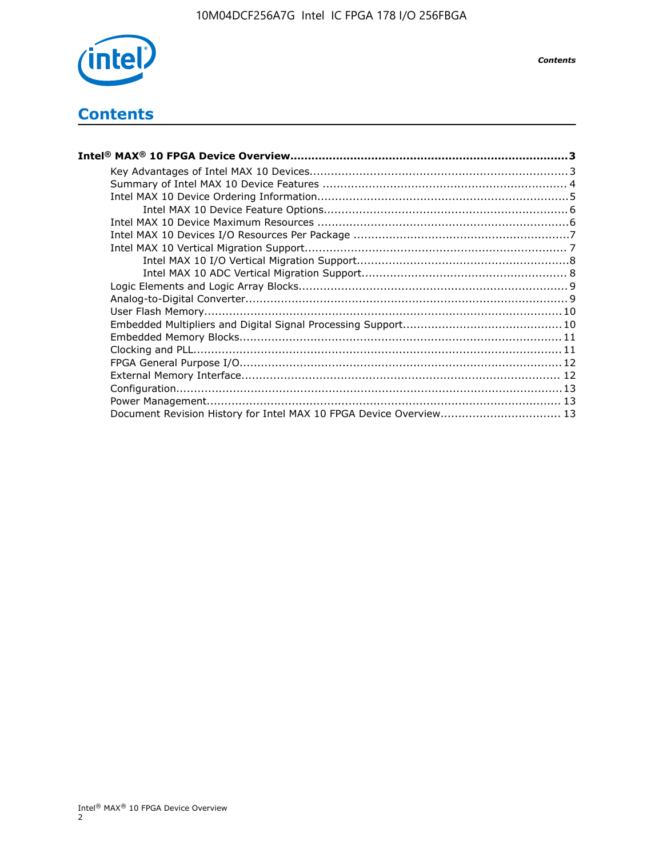

*Contents*

# **Contents**

| Intel® MAX® 10 FPGA Device Overview………………………………………………………………………………………3 |  |
|-----------------------------------------------------------------------|--|
|                                                                       |  |
|                                                                       |  |
|                                                                       |  |
|                                                                       |  |
|                                                                       |  |
|                                                                       |  |
|                                                                       |  |
|                                                                       |  |
|                                                                       |  |
|                                                                       |  |
|                                                                       |  |
|                                                                       |  |
|                                                                       |  |
|                                                                       |  |
|                                                                       |  |
|                                                                       |  |
|                                                                       |  |
|                                                                       |  |
|                                                                       |  |
| Document Revision History for Intel MAX 10 FPGA Device Overview 13    |  |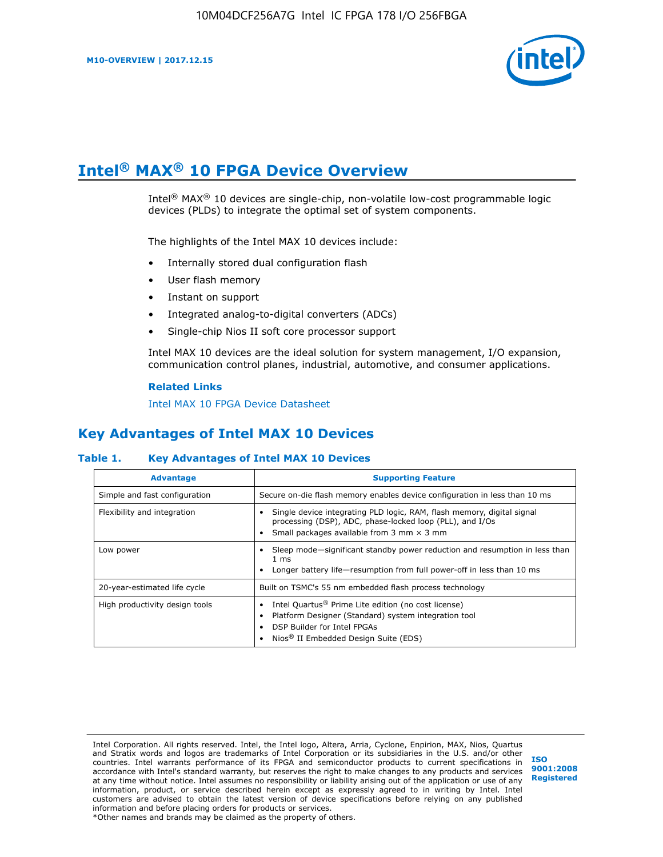

# **Intel® MAX® 10 FPGA Device Overview**

Intel® MAX® 10 devices are single-chip, non-volatile low-cost programmable logic devices (PLDs) to integrate the optimal set of system components.

The highlights of the Intel MAX 10 devices include:

- Internally stored dual configuration flash
- User flash memory
- Instant on support
- Integrated analog-to-digital converters (ADCs)
- Single-chip Nios II soft core processor support

Intel MAX 10 devices are the ideal solution for system management, I/O expansion, communication control planes, industrial, automotive, and consumer applications.

#### **Related Links**

[Intel MAX 10 FPGA Device Datasheet](https://www.altera.com/documentation/mcn1397700832153.html#mcn1397643748870)

# **Key Advantages of Intel MAX 10 Devices**

## **Table 1. Key Advantages of Intel MAX 10 Devices**

| <b>Advantage</b>               | <b>Supporting Feature</b>                                                                                                                                                                                  |  |  |  |
|--------------------------------|------------------------------------------------------------------------------------------------------------------------------------------------------------------------------------------------------------|--|--|--|
| Simple and fast configuration  | Secure on-die flash memory enables device configuration in less than 10 ms                                                                                                                                 |  |  |  |
| Flexibility and integration    | Single device integrating PLD logic, RAM, flash memory, digital signal<br>processing (DSP), ADC, phase-locked loop (PLL), and I/Os<br>Small packages available from 3 mm $\times$ 3 mm                     |  |  |  |
| Low power                      | Sleep mode—significant standby power reduction and resumption in less than<br>$1 \text{ ms}$<br>Longer battery life—resumption from full power-off in less than 10 ms                                      |  |  |  |
| 20-year-estimated life cycle   | Built on TSMC's 55 nm embedded flash process technology                                                                                                                                                    |  |  |  |
| High productivity design tools | Intel Quartus <sup>®</sup> Prime Lite edition (no cost license)<br>Platform Designer (Standard) system integration tool<br>DSP Builder for Intel FPGAs<br>Nios <sup>®</sup> II Embedded Design Suite (EDS) |  |  |  |

Intel Corporation. All rights reserved. Intel, the Intel logo, Altera, Arria, Cyclone, Enpirion, MAX, Nios, Quartus and Stratix words and logos are trademarks of Intel Corporation or its subsidiaries in the U.S. and/or other countries. Intel warrants performance of its FPGA and semiconductor products to current specifications in accordance with Intel's standard warranty, but reserves the right to make changes to any products and services at any time without notice. Intel assumes no responsibility or liability arising out of the application or use of any information, product, or service described herein except as expressly agreed to in writing by Intel. Intel customers are advised to obtain the latest version of device specifications before relying on any published information and before placing orders for products or services. \*Other names and brands may be claimed as the property of others.

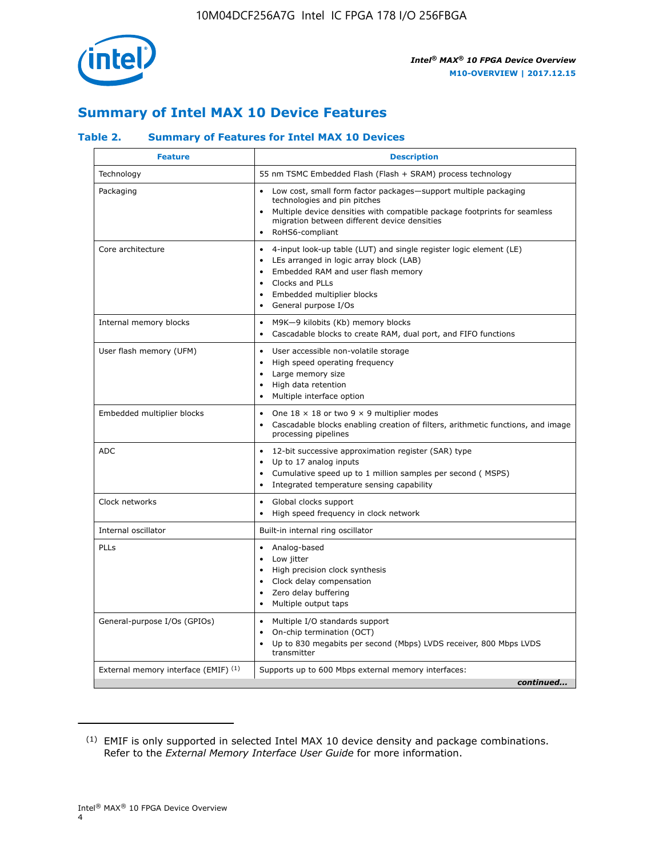

# **Summary of Intel MAX 10 Device Features**

## **Table 2. Summary of Features for Intel MAX 10 Devices**

| <b>Feature</b>                       | <b>Description</b>                                                                                                                                                                                                                                                                            |
|--------------------------------------|-----------------------------------------------------------------------------------------------------------------------------------------------------------------------------------------------------------------------------------------------------------------------------------------------|
| Technology                           | 55 nm TSMC Embedded Flash (Flash + SRAM) process technology                                                                                                                                                                                                                                   |
| Packaging                            | Low cost, small form factor packages-support multiple packaging<br>technologies and pin pitches<br>Multiple device densities with compatible package footprints for seamless<br>migration between different device densities<br>RoHS6-compliant                                               |
| Core architecture                    | 4-input look-up table (LUT) and single register logic element (LE)<br>$\bullet$<br>LEs arranged in logic array block (LAB)<br>$\bullet$<br>Embedded RAM and user flash memory<br>$\bullet$<br>Clocks and PLLs<br>$\bullet$<br>Embedded multiplier blocks<br>General purpose I/Os<br>$\bullet$ |
| Internal memory blocks               | M9K-9 kilobits (Kb) memory blocks<br>$\bullet$<br>Cascadable blocks to create RAM, dual port, and FIFO functions<br>$\bullet$                                                                                                                                                                 |
| User flash memory (UFM)              | User accessible non-volatile storage<br>$\bullet$<br>High speed operating frequency<br>$\bullet$<br>Large memory size<br>High data retention<br>$\bullet$<br>Multiple interface option                                                                                                        |
| Embedded multiplier blocks           | One $18 \times 18$ or two 9 $\times$ 9 multiplier modes<br>$\bullet$<br>Cascadable blocks enabling creation of filters, arithmetic functions, and image<br>processing pipelines                                                                                                               |
| <b>ADC</b>                           | 12-bit successive approximation register (SAR) type<br>$\bullet$<br>Up to 17 analog inputs<br>$\bullet$<br>Cumulative speed up to 1 million samples per second (MSPS)<br>Integrated temperature sensing capability<br>$\bullet$                                                               |
| Clock networks                       | Global clocks support<br>$\bullet$<br>High speed frequency in clock network                                                                                                                                                                                                                   |
| Internal oscillator                  | Built-in internal ring oscillator                                                                                                                                                                                                                                                             |
| <b>PLLs</b>                          | Analog-based<br>$\bullet$<br>Low jitter<br>High precision clock synthesis<br>$\bullet$<br>Clock delay compensation<br>$\bullet$<br>Zero delay buffering<br>٠<br>Multiple output taps<br>$\bullet$                                                                                             |
| General-purpose I/Os (GPIOs)         | Multiple I/O standards support<br>$\bullet$<br>On-chip termination (OCT)<br>٠<br>Up to 830 megabits per second (Mbps) LVDS receiver, 800 Mbps LVDS<br>transmitter                                                                                                                             |
| External memory interface (EMIF) (1) | Supports up to 600 Mbps external memory interfaces:<br>continued                                                                                                                                                                                                                              |
|                                      |                                                                                                                                                                                                                                                                                               |

<sup>(1)</sup> EMIF is only supported in selected Intel MAX 10 device density and package combinations. Refer to the *External Memory Interface User Guide* for more information.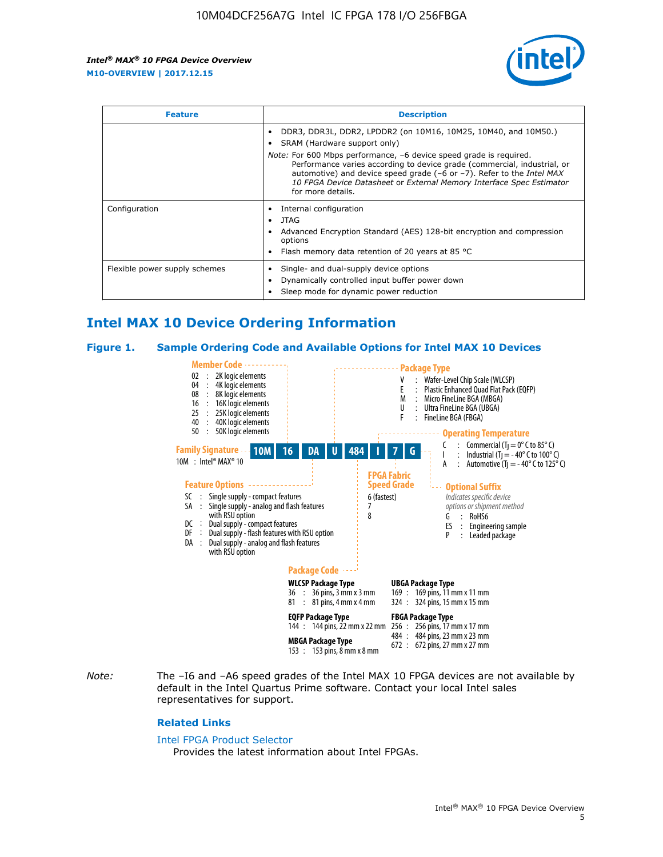

| <b>Feature</b>                | <b>Description</b>                                                                                                                                                                                                                                                                                                                                                                                                                               |  |  |  |
|-------------------------------|--------------------------------------------------------------------------------------------------------------------------------------------------------------------------------------------------------------------------------------------------------------------------------------------------------------------------------------------------------------------------------------------------------------------------------------------------|--|--|--|
|                               | DDR3, DDR3L, DDR2, LPDDR2 (on 10M16, 10M25, 10M40, and 10M50.)<br>SRAM (Hardware support only)<br><i>Note:</i> For 600 Mbps performance, -6 device speed grade is required.<br>Performance varies according to device grade (commercial, industrial, or<br>automotive) and device speed grade $(-6 \text{ or } -7)$ . Refer to the <i>Intel MAX</i><br>10 FPGA Device Datasheet or External Memory Interface Spec Estimator<br>for more details. |  |  |  |
| Configuration                 | Internal configuration<br>JTAG<br>٠<br>Advanced Encryption Standard (AES) 128-bit encryption and compression<br>options<br>Flash memory data retention of 20 years at 85 $^{\circ}$ C                                                                                                                                                                                                                                                            |  |  |  |
| Flexible power supply schemes | Single- and dual-supply device options<br>Dynamically controlled input buffer power down<br>Sleep mode for dynamic power reduction                                                                                                                                                                                                                                                                                                               |  |  |  |

# **Intel MAX 10 Device Ordering Information**

#### **Figure 1. Sample Ordering Code and Available Options for Intel MAX 10 Devices**



*Note:* The –I6 and –A6 speed grades of the Intel MAX 10 FPGA devices are not available by default in the Intel Quartus Prime software. Contact your local Intel sales representatives for support.

#### **Related Links**

#### [Intel FPGA Product Selector](http://www.altera.com/products/selector/psg-selector.html)

Provides the latest information about Intel FPGAs.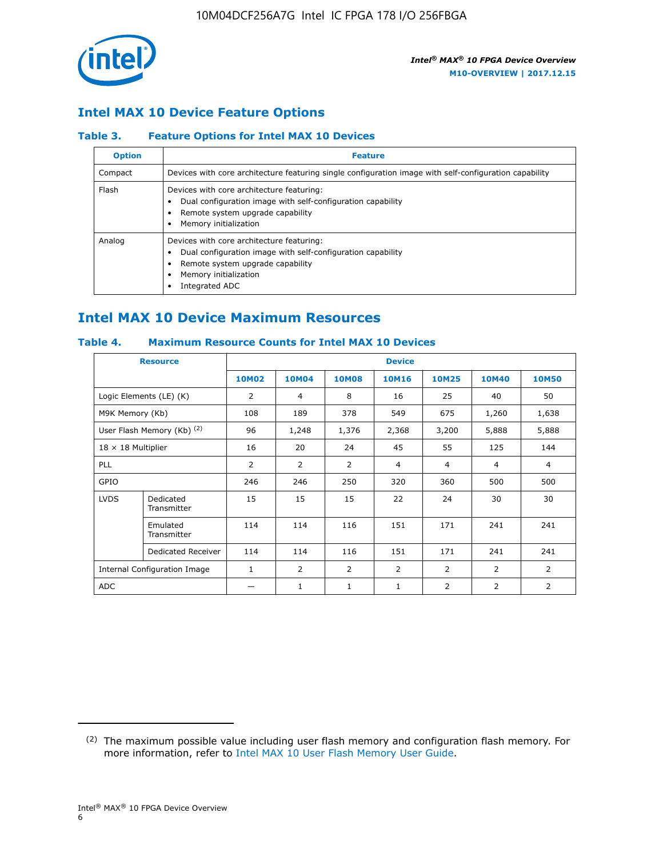

## **Intel MAX 10 Device Feature Options**

## **Table 3. Feature Options for Intel MAX 10 Devices**

| <b>Option</b> | <b>Feature</b>                                                                                                                                                                          |
|---------------|-----------------------------------------------------------------------------------------------------------------------------------------------------------------------------------------|
| Compact       | Devices with core architecture featuring single configuration image with self-configuration capability                                                                                  |
| Flash         | Devices with core architecture featuring:<br>Dual configuration image with self-configuration capability<br>Remote system upgrade capability<br>Memory initialization                   |
| Analog        | Devices with core architecture featuring:<br>Dual configuration image with self-configuration capability<br>Remote system upgrade capability<br>Memory initialization<br>Integrated ADC |

# **Intel MAX 10 Device Maximum Resources**

## **Table 4. Maximum Resource Counts for Intel MAX 10 Devices**

| <b>Resource</b>                     |                            |              |                |                | <b>Device</b>  |                |              |                |
|-------------------------------------|----------------------------|--------------|----------------|----------------|----------------|----------------|--------------|----------------|
|                                     |                            | <b>10M02</b> | <b>10M04</b>   | <b>10M08</b>   | <b>10M16</b>   | <b>10M25</b>   | <b>10M40</b> | <b>10M50</b>   |
|                                     | Logic Elements (LE) (K)    | 2            | 4              | 8              | 16             | 25             | 40           | 50             |
| M9K Memory (Kb)                     |                            | 108          | 189            | 378            | 549            | 675            | 1,260        | 1,638          |
|                                     | User Flash Memory (Kb) (2) | 96           | 1,248          | 1,376          | 2,368          | 3,200          | 5,888        | 5,888          |
| $18 \times 18$ Multiplier           |                            | 16           | 20             | 24             | 45             | 55             | 125          | 144            |
| <b>PLL</b>                          |                            | 2            | 2              | 2              | $\overline{4}$ | $\overline{4}$ | 4            | $\overline{4}$ |
| GPIO                                |                            | 246          | 246            | 250            | 320            | 360            | 500          | 500            |
| <b>LVDS</b>                         | Dedicated<br>Transmitter   | 15           | 15             | 15             | 22             | 24             | 30           | 30             |
|                                     | Emulated<br>Transmitter    | 114          | 114            | 116            | 151            | 171            | 241          | 241            |
|                                     | Dedicated Receiver         | 114          | 114            | 116            | 151            | 171            | 241          | 241            |
| <b>Internal Configuration Image</b> |                            | $\mathbf{1}$ | $\overline{2}$ | $\overline{2}$ | $\overline{2}$ | 2              | 2            | $\overline{2}$ |
| <b>ADC</b>                          |                            |              | 1              | 1              | 1              | 2              | 2            | 2              |

<sup>(2)</sup> The maximum possible value including user flash memory and configuration flash memory. For more information, refer to [Intel MAX 10 User Flash Memory User Guide](https://www.altera.com/documentation/vgo1395753117436.html#vgo1395811844282).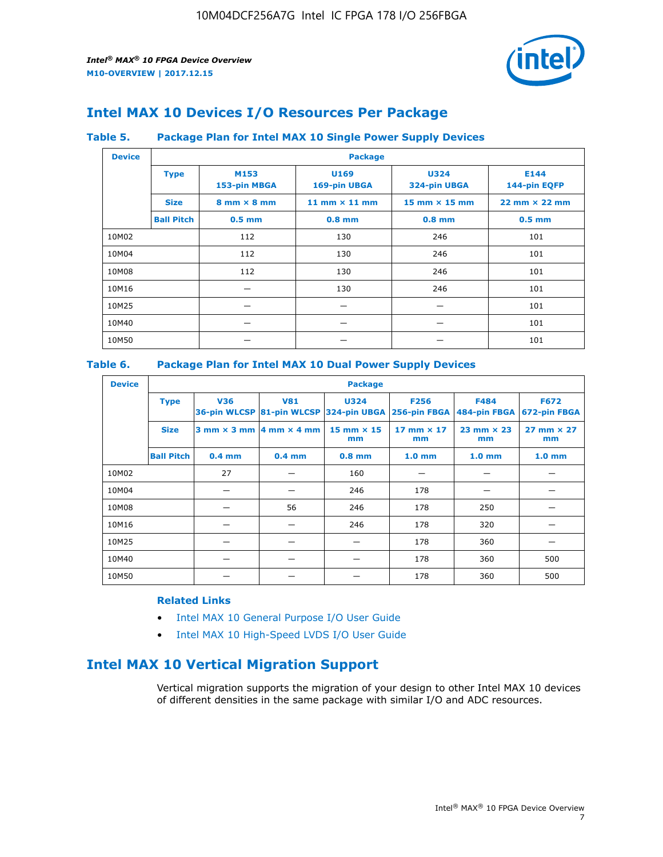

# **Intel MAX 10 Devices I/O Resources Per Package**

## **Table 5. Package Plan for Intel MAX 10 Single Power Supply Devices**

| <b>Device</b> |                   | <b>Package</b>                     |                      |                             |                                      |  |  |  |  |
|---------------|-------------------|------------------------------------|----------------------|-----------------------------|--------------------------------------|--|--|--|--|
|               | <b>Type</b>       | M153<br>153-pin MBGA               | U169<br>169-pin UBGA | <b>U324</b><br>324-pin UBGA | E144<br>144-pin EQFP                 |  |  |  |  |
|               | <b>Size</b>       | $8 \text{ mm} \times 8 \text{ mm}$ | 11 mm $\times$ 11 mm | $15$ mm $\times$ 15 mm      | $22 \text{ mm} \times 22 \text{ mm}$ |  |  |  |  |
|               | <b>Ball Pitch</b> | $0.5$ mm                           | $0.8$ mm             | $0.8$ mm                    | $0.5$ mm                             |  |  |  |  |
| 10M02         |                   | 112                                | 130                  | 246                         | 101                                  |  |  |  |  |
| 10M04         |                   | 112                                | 130                  | 246                         | 101                                  |  |  |  |  |
| 10M08         |                   | 112                                | 130                  | 246                         | 101                                  |  |  |  |  |
| 10M16         |                   |                                    | 130                  | 246                         | 101                                  |  |  |  |  |
| 10M25         |                   |                                    |                      |                             | 101                                  |  |  |  |  |
| 10M40         |                   |                                    |                      |                             | 101                                  |  |  |  |  |
| 10M50         |                   |                                    |                      |                             | 101                                  |  |  |  |  |

## **Table 6. Package Plan for Intel MAX 10 Dual Power Supply Devices**

| <b>Device</b> |                   | <b>Package</b> |                                                 |                                                                    |                         |                           |                             |  |  |
|---------------|-------------------|----------------|-------------------------------------------------|--------------------------------------------------------------------|-------------------------|---------------------------|-----------------------------|--|--|
|               | <b>Type</b>       | <b>V36</b>     | <b>V81</b>                                      | <b>U324</b><br>36-pin WLCSP 81-pin WLCSP 324-pin UBGA 256-pin FBGA | <b>F256</b>             | F484<br>484-pin FBGA      | <b>F672</b><br>672-pin FBGA |  |  |
|               | <b>Size</b>       |                | $3$ mm $\times$ 3 mm $\vert$ 4 mm $\times$ 4 mm | $15$ mm $\times$ 15<br>mm                                          | 17 mm $\times$ 17<br>mm | $23$ mm $\times$ 23<br>mm | $27$ mm $\times$ 27<br>mm   |  |  |
|               | <b>Ball Pitch</b> | $0.4$ mm       | $0.4$ mm                                        | $0.8$ mm                                                           | 1.0 <sub>mm</sub>       | 1.0 <sub>mm</sub>         | 1.0 <sub>mm</sub>           |  |  |
| 10M02         |                   | 27             |                                                 | 160                                                                |                         |                           |                             |  |  |
| 10M04         |                   |                |                                                 | 246                                                                | 178                     |                           |                             |  |  |
| 10M08         |                   |                | 56                                              | 246                                                                | 178                     | 250                       |                             |  |  |
| 10M16         |                   |                |                                                 | 246                                                                | 178                     | 320                       |                             |  |  |
| 10M25         |                   |                |                                                 |                                                                    | 178                     | 360                       |                             |  |  |
| 10M40         |                   |                |                                                 |                                                                    | 178                     | 360                       | 500                         |  |  |
| 10M50         |                   |                |                                                 |                                                                    | 178                     | 360                       | 500                         |  |  |

## **Related Links**

- [Intel MAX 10 General Purpose I/O User Guide](https://www.altera.com/documentation/sam1393999966669.html#sam1394000084476)
- [Intel MAX 10 High-Speed LVDS I/O User Guide](https://www.altera.com/documentation/sam1394433606063.html#sam1394433911642)

# **Intel MAX 10 Vertical Migration Support**

Vertical migration supports the migration of your design to other Intel MAX 10 devices of different densities in the same package with similar I/O and ADC resources.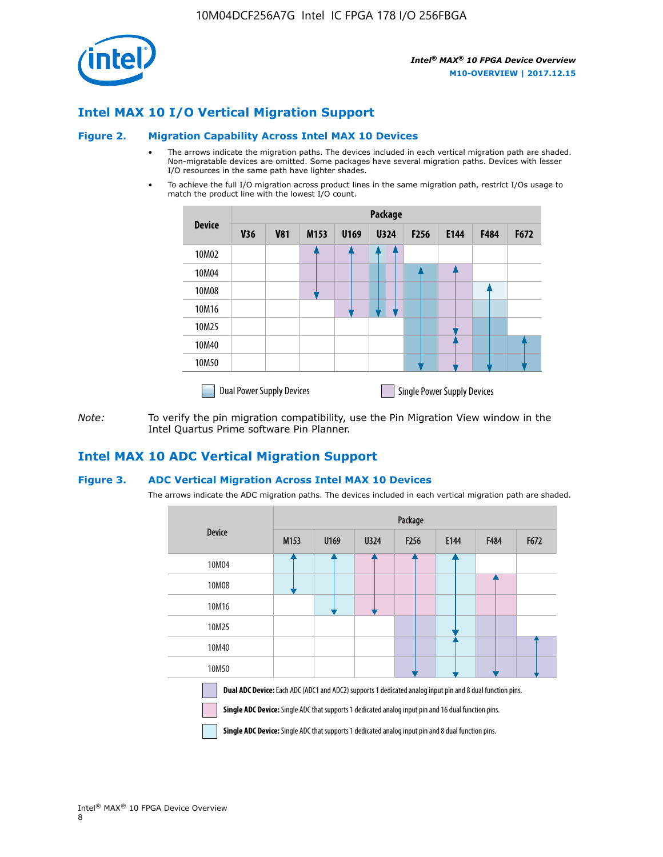

## **Intel MAX 10 I/O Vertical Migration Support**

#### **Figure 2. Migration Capability Across Intel MAX 10 Devices**

- The arrows indicate the migration paths. The devices included in each vertical migration path are shaded. Non-migratable devices are omitted. Some packages have several migration paths. Devices with lesser I/O resources in the same path have lighter shades.
- To achieve the full I/O migration across product lines in the same migration path, restrict I/Os usage to match the product line with the lowest I/O count.

|               | <b>Package</b>                   |            |      |      |             |                  |                                    |      |      |  |
|---------------|----------------------------------|------------|------|------|-------------|------------------|------------------------------------|------|------|--|
| <b>Device</b> | <b>V36</b>                       | <b>V81</b> | M153 | U169 | <b>U324</b> | F <sub>256</sub> | E144                               | F484 | F672 |  |
| 10M02         |                                  |            |      |      | 7           |                  |                                    |      |      |  |
| 10M04         |                                  |            |      |      |             |                  |                                    |      |      |  |
| 10M08         |                                  |            |      |      |             |                  |                                    |      |      |  |
| 10M16         |                                  |            |      |      |             |                  |                                    |      |      |  |
| 10M25         |                                  |            |      |      |             |                  |                                    |      |      |  |
| 10M40         |                                  |            |      |      |             |                  |                                    |      |      |  |
| 10M50         |                                  |            |      |      |             |                  |                                    |      |      |  |
|               | <b>Dual Power Supply Devices</b> |            |      |      |             |                  | <b>Single Power Supply Devices</b> |      |      |  |

*Note:* To verify the pin migration compatibility, use the Pin Migration View window in the Intel Quartus Prime software Pin Planner.

## **Intel MAX 10 ADC Vertical Migration Support**

#### **Figure 3. ADC Vertical Migration Across Intel MAX 10 Devices**

The arrows indicate the ADC migration paths. The devices included in each vertical migration path are shaded.

|                                                                                                                                                                                                                         | Package          |      |      |                  |      |             |      |  |  |
|-------------------------------------------------------------------------------------------------------------------------------------------------------------------------------------------------------------------------|------------------|------|------|------------------|------|-------------|------|--|--|
| <b>Device</b>                                                                                                                                                                                                           | M <sub>153</sub> | U169 | U324 | F <sub>256</sub> | E144 | <b>F484</b> | F672 |  |  |
| 10M04                                                                                                                                                                                                                   |                  |      |      |                  |      |             |      |  |  |
| 10M08                                                                                                                                                                                                                   |                  |      |      |                  |      |             |      |  |  |
| 10M16                                                                                                                                                                                                                   |                  |      |      |                  |      |             |      |  |  |
| 10M25                                                                                                                                                                                                                   |                  |      |      |                  |      |             |      |  |  |
| 10M40                                                                                                                                                                                                                   |                  |      |      |                  |      |             |      |  |  |
| 10M50                                                                                                                                                                                                                   |                  |      |      |                  |      |             |      |  |  |
| <b>Dual ADC Device:</b> Each ADC (ADC1 and ADC2) supports 1 dedicated analog input pin and 8 dual function pins.<br>Single ADC Device: Single ADC that supports 1 dedicated analog input pin and 16 dual function pins. |                  |      |      |                  |      |             |      |  |  |

**Single ADC Device:** Single ADC that supports 1 dedicated analog input pin and 8 dual function pins.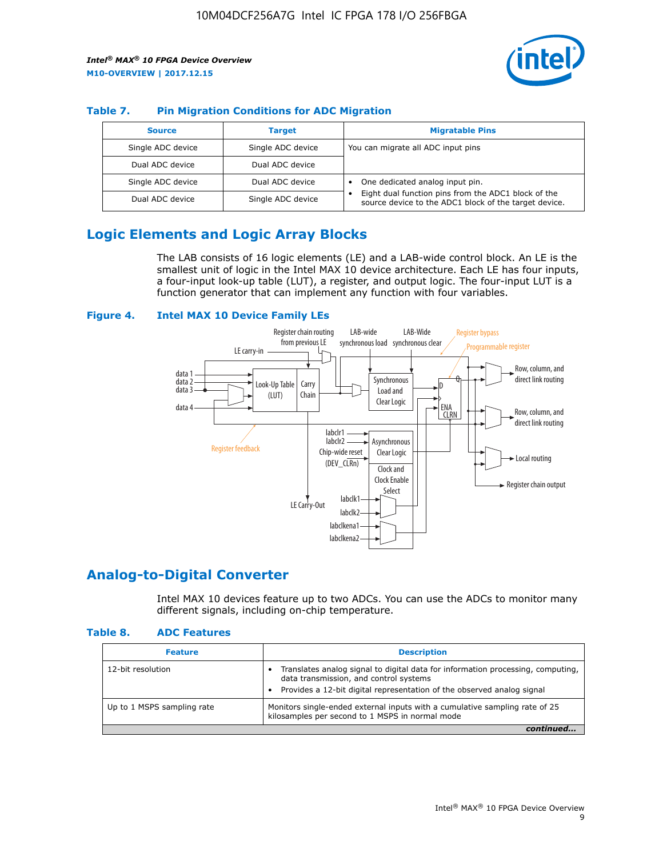

## **Table 7. Pin Migration Conditions for ADC Migration**

| <b>Source</b>     | <b>Target</b>     | <b>Migratable Pins</b>                                                                                            |
|-------------------|-------------------|-------------------------------------------------------------------------------------------------------------------|
| Single ADC device | Single ADC device | You can migrate all ADC input pins                                                                                |
| Dual ADC device   | Dual ADC device   |                                                                                                                   |
| Single ADC device | Dual ADC device   | One dedicated analog input pin.                                                                                   |
| Dual ADC device   | Single ADC device | Eight dual function pins from the ADC1 block of the<br>٠<br>source device to the ADC1 block of the target device. |

# **Logic Elements and Logic Array Blocks**

The LAB consists of 16 logic elements (LE) and a LAB-wide control block. An LE is the smallest unit of logic in the Intel MAX 10 device architecture. Each LE has four inputs, a four-input look-up table (LUT), a register, and output logic. The four-input LUT is a function generator that can implement any function with four variables.

#### **Figure 4. Intel MAX 10 Device Family LEs**



## **Analog-to-Digital Converter**

Intel MAX 10 devices feature up to two ADCs. You can use the ADCs to monitor many different signals, including on-chip temperature.

#### **Table 8. ADC Features**

| <b>Feature</b>             | <b>Description</b>                                                                                                                                                                                  |
|----------------------------|-----------------------------------------------------------------------------------------------------------------------------------------------------------------------------------------------------|
| 12-bit resolution          | Translates analog signal to digital data for information processing, computing,<br>data transmission, and control systems<br>Provides a 12-bit digital representation of the observed analog signal |
| Up to 1 MSPS sampling rate | Monitors single-ended external inputs with a cumulative sampling rate of 25<br>kilosamples per second to 1 MSPS in normal mode                                                                      |
|                            |                                                                                                                                                                                                     |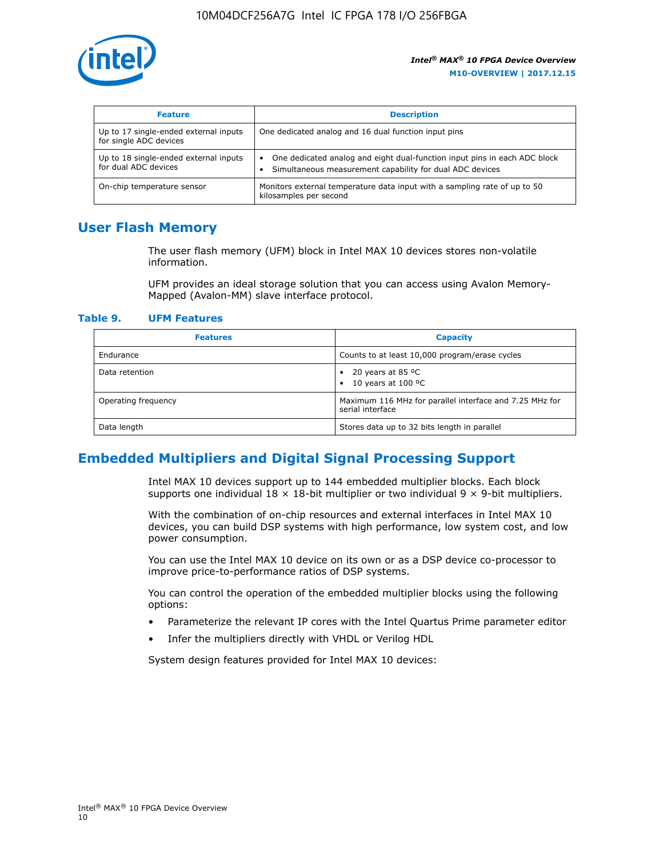

| <b>Feature</b>                                                  | <b>Description</b>                                                                                                                         |  |
|-----------------------------------------------------------------|--------------------------------------------------------------------------------------------------------------------------------------------|--|
| Up to 17 single-ended external inputs<br>for single ADC devices | One dedicated analog and 16 dual function input pins                                                                                       |  |
| Up to 18 single-ended external inputs<br>for dual ADC devices   | One dedicated analog and eight dual-function input pins in each ADC block<br>٠<br>Simultaneous measurement capability for dual ADC devices |  |
| On-chip temperature sensor                                      | Monitors external temperature data input with a sampling rate of up to 50<br>kilosamples per second                                        |  |

# **User Flash Memory**

The user flash memory (UFM) block in Intel MAX 10 devices stores non-volatile information.

UFM provides an ideal storage solution that you can access using Avalon Memory-Mapped (Avalon-MM) slave interface protocol.

#### **Table 9. UFM Features**

| <b>Features</b>     | <b>Capacity</b>                                                             |
|---------------------|-----------------------------------------------------------------------------|
| Endurance           | Counts to at least 10,000 program/erase cycles                              |
| Data retention      | 20 years at 85 $^{\circ}$ C<br>٠<br>10 years at 100 °C<br>$\bullet$         |
| Operating frequency | Maximum 116 MHz for parallel interface and 7.25 MHz for<br>serial interface |
| Data length         | Stores data up to 32 bits length in parallel                                |

## **Embedded Multipliers and Digital Signal Processing Support**

Intel MAX 10 devices support up to 144 embedded multiplier blocks. Each block supports one individual  $18 \times 18$ -bit multiplier or two individual  $9 \times 9$ -bit multipliers.

With the combination of on-chip resources and external interfaces in Intel MAX 10 devices, you can build DSP systems with high performance, low system cost, and low power consumption.

You can use the Intel MAX 10 device on its own or as a DSP device co-processor to improve price-to-performance ratios of DSP systems.

You can control the operation of the embedded multiplier blocks using the following options:

- Parameterize the relevant IP cores with the Intel Quartus Prime parameter editor
- Infer the multipliers directly with VHDL or Verilog HDL

System design features provided for Intel MAX 10 devices: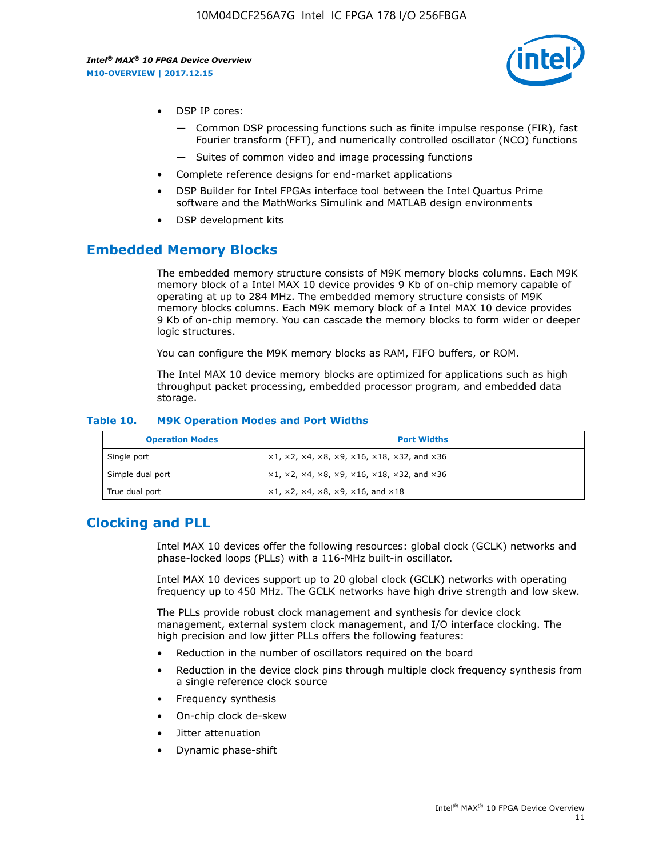

- DSP IP cores:
	- Common DSP processing functions such as finite impulse response (FIR), fast Fourier transform (FFT), and numerically controlled oscillator (NCO) functions
	- Suites of common video and image processing functions
- Complete reference designs for end-market applications
- DSP Builder for Intel FPGAs interface tool between the Intel Quartus Prime software and the MathWorks Simulink and MATLAB design environments
- DSP development kits

## **Embedded Memory Blocks**

The embedded memory structure consists of M9K memory blocks columns. Each M9K memory block of a Intel MAX 10 device provides 9 Kb of on-chip memory capable of operating at up to 284 MHz. The embedded memory structure consists of M9K memory blocks columns. Each M9K memory block of a Intel MAX 10 device provides 9 Kb of on-chip memory. You can cascade the memory blocks to form wider or deeper logic structures.

You can configure the M9K memory blocks as RAM, FIFO buffers, or ROM.

The Intel MAX 10 device memory blocks are optimized for applications such as high throughput packet processing, embedded processor program, and embedded data storage.

| <b>Operation Modes</b> | <b>Port Widths</b>                                                            |
|------------------------|-------------------------------------------------------------------------------|
| Single port            | $x1, x2, x4, x8, x9, x16, x18, x32, and x36$                                  |
| Simple dual port       | $x1, x2, x4, x8, x9, x16, x18, x32, and x36$                                  |
| True dual port         | $\times1, \times2, \times4, \times8, \times9, \times16, \text{and } \times18$ |

#### **Table 10. M9K Operation Modes and Port Widths**

# **Clocking and PLL**

Intel MAX 10 devices offer the following resources: global clock (GCLK) networks and phase-locked loops (PLLs) with a 116-MHz built-in oscillator.

Intel MAX 10 devices support up to 20 global clock (GCLK) networks with operating frequency up to 450 MHz. The GCLK networks have high drive strength and low skew.

The PLLs provide robust clock management and synthesis for device clock management, external system clock management, and I/O interface clocking. The high precision and low jitter PLLs offers the following features:

- Reduction in the number of oscillators required on the board
- Reduction in the device clock pins through multiple clock frequency synthesis from a single reference clock source
- Frequency synthesis
- On-chip clock de-skew
- Jitter attenuation
- Dynamic phase-shift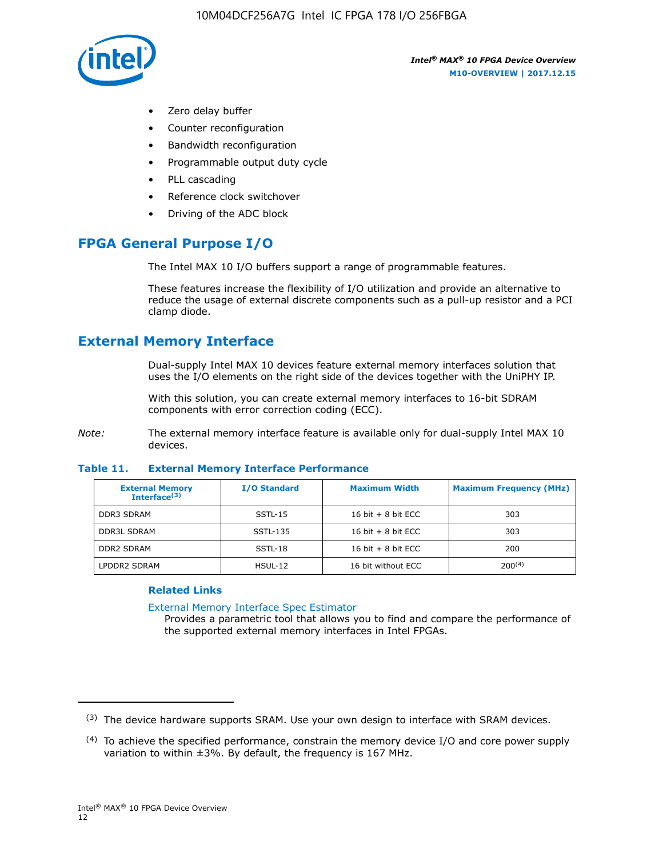

- Zero delay buffer
- Counter reconfiguration
- Bandwidth reconfiguration
- Programmable output duty cycle
- PLL cascading
- Reference clock switchover
- Driving of the ADC block

# **FPGA General Purpose I/O**

The Intel MAX 10 I/O buffers support a range of programmable features.

These features increase the flexibility of I/O utilization and provide an alternative to reduce the usage of external discrete components such as a pull-up resistor and a PCI clamp diode.

# **External Memory Interface**

Dual-supply Intel MAX 10 devices feature external memory interfaces solution that uses the I/O elements on the right side of the devices together with the UniPHY IP.

With this solution, you can create external memory interfaces to 16-bit SDRAM components with error correction coding (ECC).

*Note:* The external memory interface feature is available only for dual-supply Intel MAX 10 devices.

#### **Table 11. External Memory Interface Performance**

| <b>External Memory</b><br>Interface $(3)$ | <b>I/O Standard</b> | <b>Maximum Width</b> | <b>Maximum Frequency (MHz)</b> |
|-------------------------------------------|---------------------|----------------------|--------------------------------|
| <b>DDR3 SDRAM</b>                         | $SSTL-15$           | 16 bit $+8$ bit ECC  | 303                            |
| <b>DDR3L SDRAM</b>                        | SSTL-135            | 16 bit $+8$ bit ECC  | 303                            |
| <b>DDR2 SDRAM</b>                         | SSTL-18             | 16 bit $+8$ bit ECC  | 200                            |
| LPDDR2 SDRAM                              | HSUL-12             | 16 bit without ECC   | 200(4)                         |

### **Related Links**

[External Memory Interface Spec Estimator](http://www.altera.com/technology/memory/estimator/mem-emif-index.html)

Provides a parametric tool that allows you to find and compare the performance of the supported external memory interfaces in Intel FPGAs.

 $(3)$  The device hardware supports SRAM. Use your own design to interface with SRAM devices.

 $(4)$  To achieve the specified performance, constrain the memory device I/O and core power supply variation to within ±3%. By default, the frequency is 167 MHz.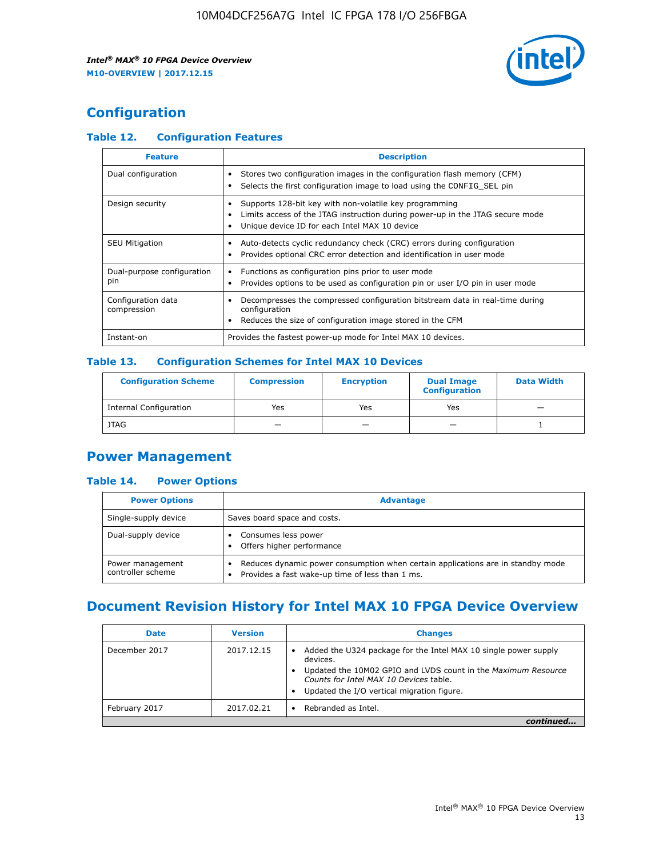

# **Configuration**

## **Table 12. Configuration Features**

| <b>Feature</b>                    | <b>Description</b>                                                                                                                                                                       |
|-----------------------------------|------------------------------------------------------------------------------------------------------------------------------------------------------------------------------------------|
| Dual configuration                | Stores two configuration images in the configuration flash memory (CFM)<br>Selects the first configuration image to load using the CONFIG SEL pin                                        |
| Design security                   | Supports 128-bit key with non-volatile key programming<br>Limits access of the JTAG instruction during power-up in the JTAG secure mode<br>Unique device ID for each Intel MAX 10 device |
| <b>SEU Mitigation</b>             | Auto-detects cyclic redundancy check (CRC) errors during configuration<br>Provides optional CRC error detection and identification in user mode                                          |
| Dual-purpose configuration<br>pin | Functions as configuration pins prior to user mode<br>Provides options to be used as configuration pin or user I/O pin in user mode                                                      |
| Configuration data<br>compression | Decompresses the compressed configuration bitstream data in real-time during<br>configuration<br>Reduces the size of configuration image stored in the CFM                               |
| Instant-on                        | Provides the fastest power-up mode for Intel MAX 10 devices.                                                                                                                             |

## **Table 13. Configuration Schemes for Intel MAX 10 Devices**

| <b>Configuration Scheme</b>   | <b>Compression</b>       | <b>Encryption</b> | <b>Dual Image</b><br><b>Configuration</b> | <b>Data Width</b> |
|-------------------------------|--------------------------|-------------------|-------------------------------------------|-------------------|
| <b>Internal Configuration</b> | Yes                      | Yes               | Yes                                       |                   |
| <b>JTAG</b>                   | $\overline{\phantom{a}}$ |                   | -                                         |                   |

# **Power Management**

## **Table 14. Power Options**

| <b>Power Options</b>                  | <b>Advantage</b>                                                                                                                        |  |
|---------------------------------------|-----------------------------------------------------------------------------------------------------------------------------------------|--|
| Single-supply device                  | Saves board space and costs.                                                                                                            |  |
| Dual-supply device                    | Consumes less power<br>Offers higher performance<br>$\bullet$                                                                           |  |
| Power management<br>controller scheme | Reduces dynamic power consumption when certain applications are in standby mode<br>Provides a fast wake-up time of less than 1 ms.<br>٠ |  |

# **Document Revision History for Intel MAX 10 FPGA Device Overview**

| <b>Date</b>   | <b>Version</b> | <b>Changes</b>                                                                                                                                                                                                                       |
|---------------|----------------|--------------------------------------------------------------------------------------------------------------------------------------------------------------------------------------------------------------------------------------|
| December 2017 | 2017.12.15     | Added the U324 package for the Intel MAX 10 single power supply<br>devices.<br>Updated the 10M02 GPIO and LVDS count in the Maximum Resource<br>Counts for Intel MAX 10 Devices table.<br>Updated the I/O vertical migration figure. |
| February 2017 | 2017.02.21     | Rebranded as Intel.                                                                                                                                                                                                                  |
|               |                |                                                                                                                                                                                                                                      |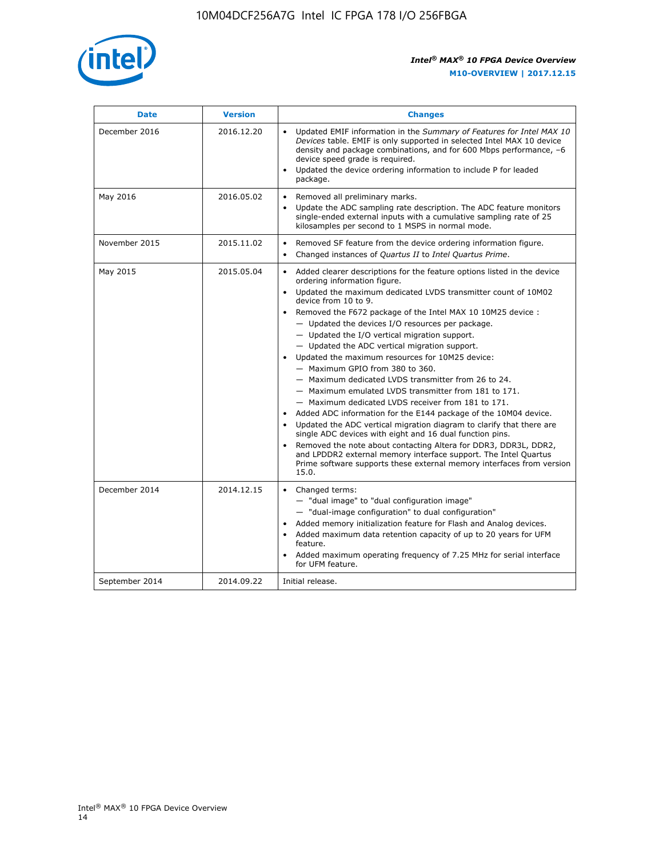

| <b>Date</b>    | <b>Version</b> | <b>Changes</b>                                                                                                                                                                                                                                                                                                                                                                                                                                                                                                                                                                                                                                                                                                                                                                                                                                                                                                                                                                                                                                                                                                  |
|----------------|----------------|-----------------------------------------------------------------------------------------------------------------------------------------------------------------------------------------------------------------------------------------------------------------------------------------------------------------------------------------------------------------------------------------------------------------------------------------------------------------------------------------------------------------------------------------------------------------------------------------------------------------------------------------------------------------------------------------------------------------------------------------------------------------------------------------------------------------------------------------------------------------------------------------------------------------------------------------------------------------------------------------------------------------------------------------------------------------------------------------------------------------|
| December 2016  | 2016.12.20     | • Updated EMIF information in the Summary of Features for Intel MAX 10<br>Devices table. EMIF is only supported in selected Intel MAX 10 device<br>density and package combinations, and for 600 Mbps performance, -6<br>device speed grade is required.<br>Updated the device ordering information to include P for leaded<br>package.                                                                                                                                                                                                                                                                                                                                                                                                                                                                                                                                                                                                                                                                                                                                                                         |
| May 2016       | 2016.05.02     | Removed all preliminary marks.<br>Update the ADC sampling rate description. The ADC feature monitors<br>single-ended external inputs with a cumulative sampling rate of 25<br>kilosamples per second to 1 MSPS in normal mode.                                                                                                                                                                                                                                                                                                                                                                                                                                                                                                                                                                                                                                                                                                                                                                                                                                                                                  |
| November 2015  | 2015.11.02     | Removed SF feature from the device ordering information figure.<br>$\bullet$<br>Changed instances of Quartus II to Intel Quartus Prime.<br>$\bullet$                                                                                                                                                                                                                                                                                                                                                                                                                                                                                                                                                                                                                                                                                                                                                                                                                                                                                                                                                            |
| May 2015       | 2015.05.04     | Added clearer descriptions for the feature options listed in the device<br>ordering information figure.<br>Updated the maximum dedicated LVDS transmitter count of 10M02<br>device from 10 to 9.<br>Removed the F672 package of the Intel MAX 10 10M25 device :<br>- Updated the devices I/O resources per package.<br>- Updated the I/O vertical migration support.<br>- Updated the ADC vertical migration support.<br>Updated the maximum resources for 10M25 device:<br>- Maximum GPIO from 380 to 360.<br>- Maximum dedicated LVDS transmitter from 26 to 24.<br>- Maximum emulated LVDS transmitter from 181 to 171.<br>- Maximum dedicated LVDS receiver from 181 to 171.<br>Added ADC information for the E144 package of the 10M04 device.<br>Updated the ADC vertical migration diagram to clarify that there are<br>single ADC devices with eight and 16 dual function pins.<br>Removed the note about contacting Altera for DDR3, DDR3L, DDR2,<br>and LPDDR2 external memory interface support. The Intel Quartus<br>Prime software supports these external memory interfaces from version<br>15.0. |
| December 2014  | 2014.12.15     | Changed terms:<br>- "dual image" to "dual configuration image"<br>- "dual-image configuration" to dual configuration"<br>Added memory initialization feature for Flash and Analog devices.<br>Added maximum data retention capacity of up to 20 years for UFM<br>feature.<br>Added maximum operating frequency of 7.25 MHz for serial interface<br>for UFM feature.                                                                                                                                                                                                                                                                                                                                                                                                                                                                                                                                                                                                                                                                                                                                             |
| September 2014 | 2014.09.22     | Initial release.                                                                                                                                                                                                                                                                                                                                                                                                                                                                                                                                                                                                                                                                                                                                                                                                                                                                                                                                                                                                                                                                                                |